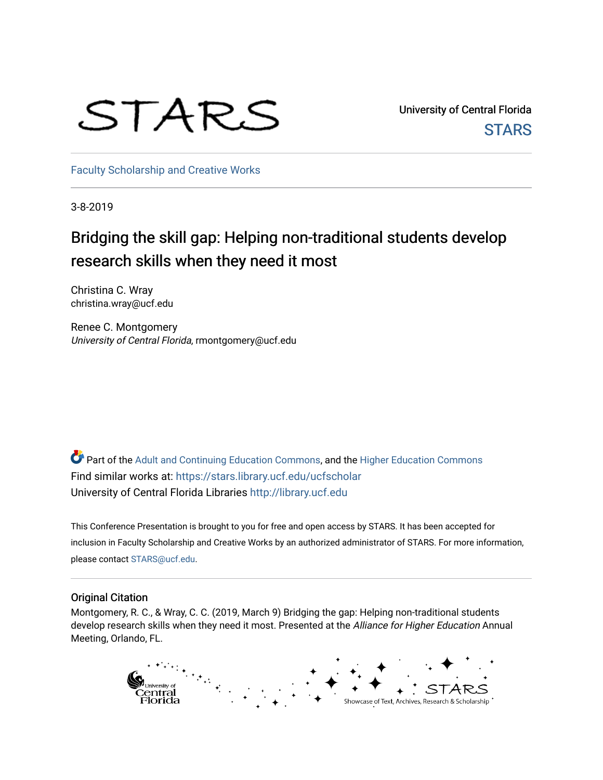# STARS

University of Central Florida **STARS** 

[Faculty Scholarship and Creative Works](https://stars.library.ucf.edu/ucfscholar) 

3-8-2019

#### Bridging the skill gap: Helping non-traditional students develop research skills when they need it most

Christina C. Wray christina.wray@ucf.edu

Renee C. Montgomery University of Central Florida, rmontgomery@ucf.edu

Part of the [Adult and Continuing Education Commons,](http://network.bepress.com/hgg/discipline/1375?utm_source=stars.library.ucf.edu%2Fucfscholar%2F780&utm_medium=PDF&utm_campaign=PDFCoverPages) and the [Higher Education Commons](http://network.bepress.com/hgg/discipline/1245?utm_source=stars.library.ucf.edu%2Fucfscholar%2F780&utm_medium=PDF&utm_campaign=PDFCoverPages) Find similar works at: <https://stars.library.ucf.edu/ucfscholar> University of Central Florida Libraries [http://library.ucf.edu](http://library.ucf.edu/) 

This Conference Presentation is brought to you for free and open access by STARS. It has been accepted for inclusion in Faculty Scholarship and Creative Works by an authorized administrator of STARS. For more information, please contact [STARS@ucf.edu](mailto:STARS@ucf.edu).

#### Original Citation

Montgomery, R. C., & Wray, C. C. (2019, March 9) Bridging the gap: Helping non-traditional students develop research skills when they need it most. Presented at the Alliance for Higher Education Annual Meeting, Orlando, FL.

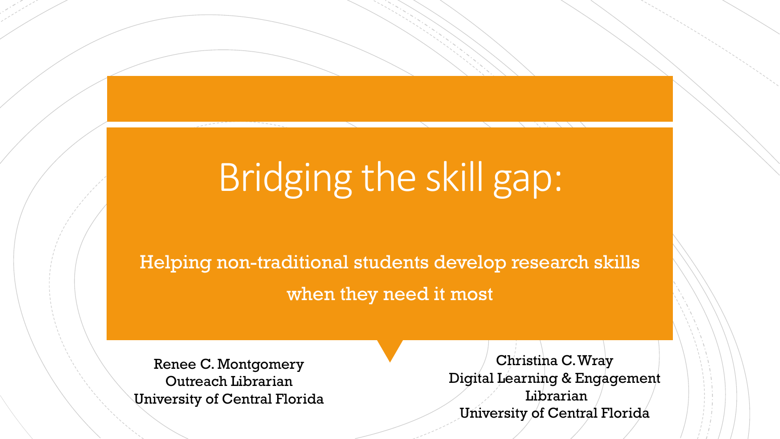# Bridging the skill gap:

Helping non-traditional students develop research skills when they need it most

Renee C. Montgomery Outreach Librarian University of Central Florida

Christina C. Wray Digital Learning & Engagement Librarian University of Central Florida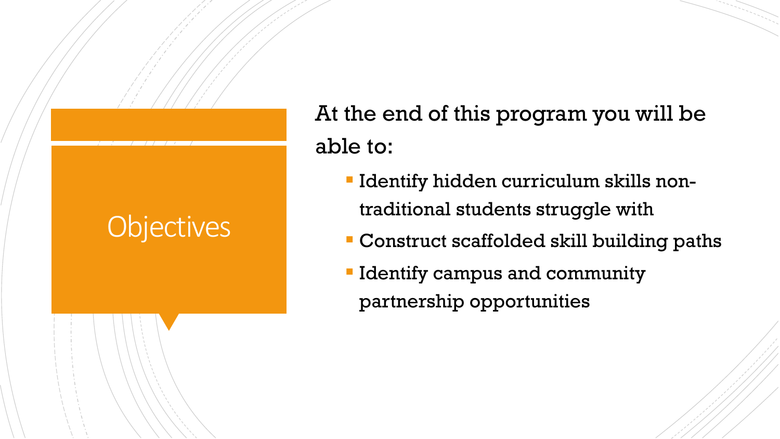## **Objectives**

At the end of this program you will be able to:

- **Identify hidden curriculum skills non**traditional students struggle with
- Construct scaffolded skill building paths
- **I** Identify campus and community partnership opportunities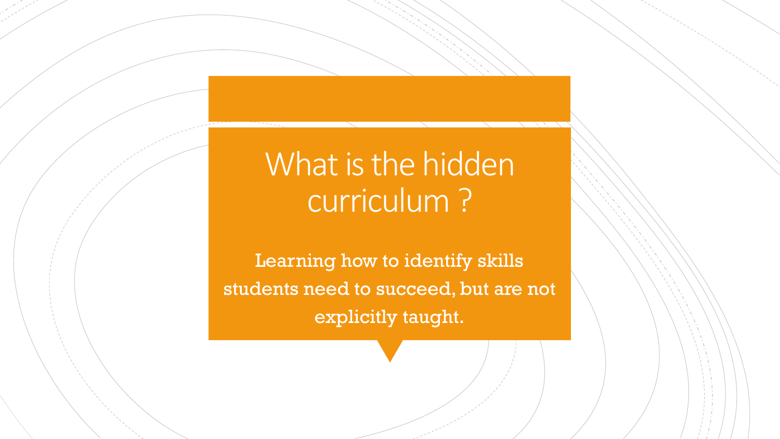# What is the hidden curriculum ?

Learning how to identify skills students need to succeed, but are not explicitly taught.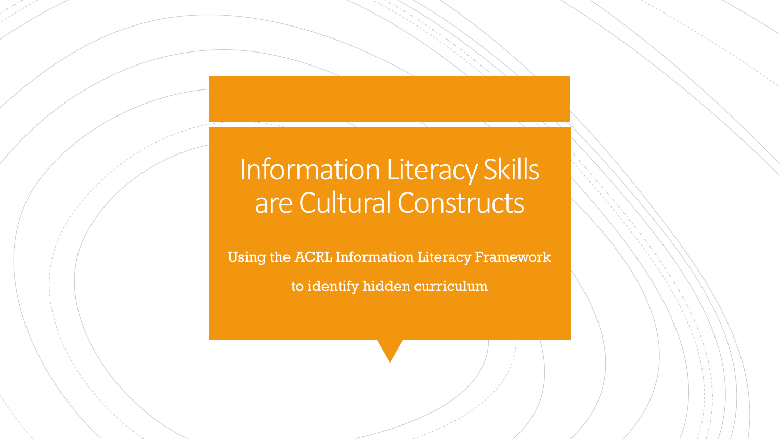### Information Literacy Skills are Cultural Constructs

Using the ACRL Information Literacy Framework to identify hidden curriculum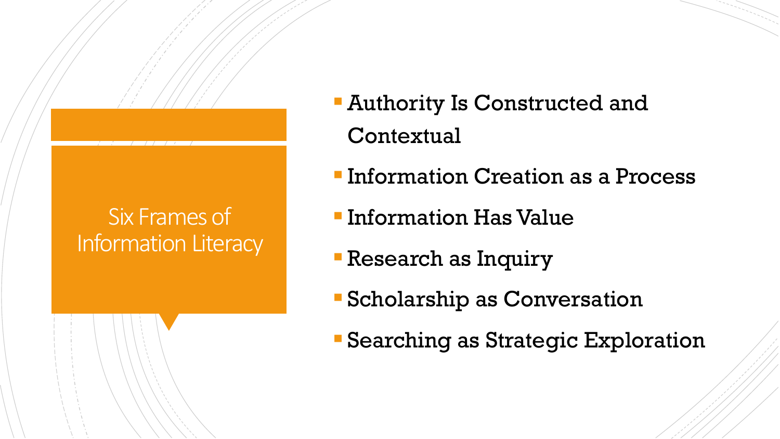### Six Frames of Information Literacy

- **Authority Is Constructed and Contextual**
- **Information Creation as a Process**
- **Information Has Value**
- **Research as Inquiry**
- Scholarship as Conversation
- Searching as Strategic Exploration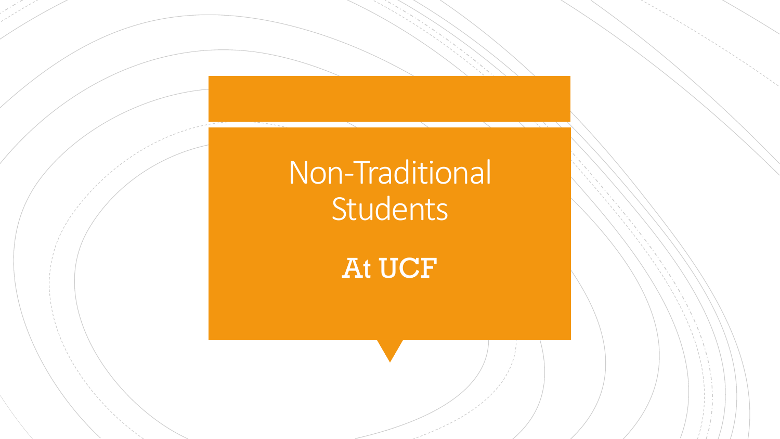# Non-Traditional Students

At UCF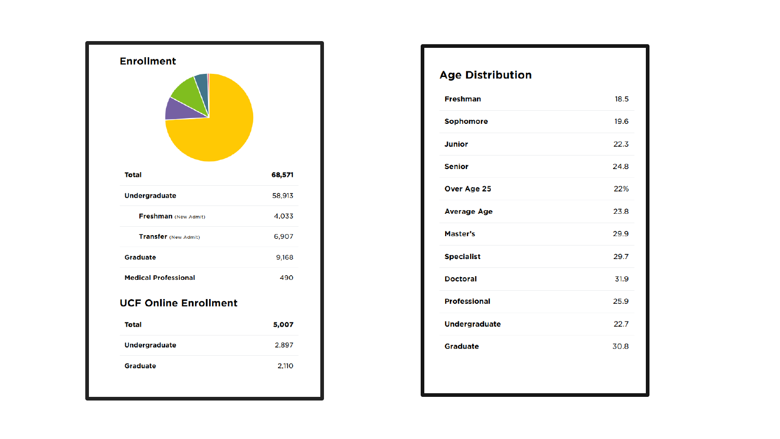

| <b>Age Distribution</b> |      |
|-------------------------|------|
| <b>Freshman</b>         | 18.5 |
| Sophomore               | 19.6 |
| <b>Junior</b>           | 22.3 |
| <b>Senior</b>           | 24.8 |
| Over Age 25             | 22%  |
| <b>Average Age</b>      | 23.8 |
| Master's                | 29.9 |
| <b>Specialist</b>       | 29.7 |
| <b>Doctoral</b>         | 31.9 |
| <b>Professional</b>     | 25.9 |
| <b>Undergraduate</b>    | 22.7 |
| <b>Graduate</b>         | 30.8 |
|                         |      |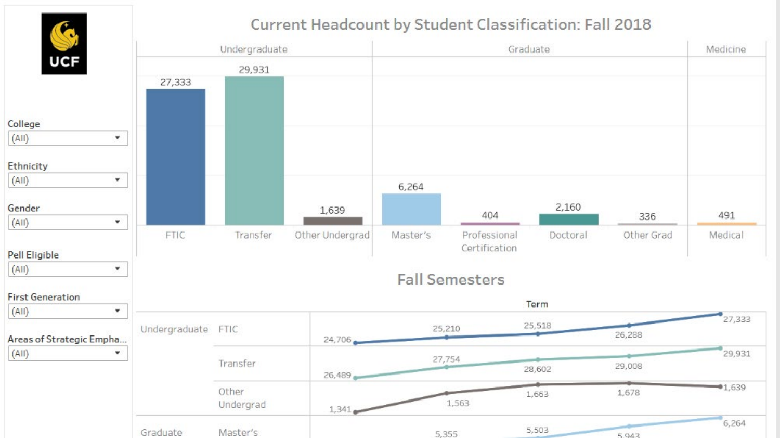

#### Current Headcount by Student Classification: Fall 2018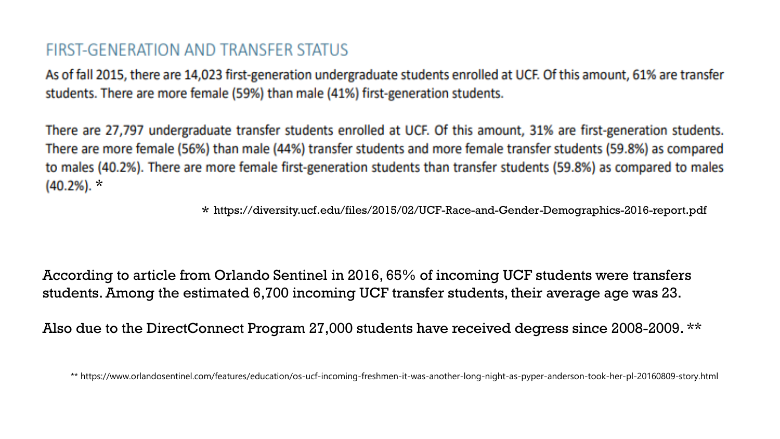#### FIRST-GENERATION AND TRANSFER STATUS

As of fall 2015, there are 14,023 first-generation undergraduate students enrolled at UCF. Of this amount, 61% are transfer students. There are more female (59%) than male (41%) first-generation students.

There are 27,797 undergraduate transfer students enrolled at UCF. Of this amount, 31% are first-generation students. There are more female (56%) than male (44%) transfer students and more female transfer students (59.8%) as compared to males (40.2%). There are more female first-generation students than transfer students (59.8%) as compared to males  $(40.2\%)$ . \*

 $\star$  https://diversity.ucf.edu/files/2015/02/UCF-Race-and-Gender-Demographics-2016-report.pdf

According to article from Orlando Sentinel in 2016, 65% of incoming UCF students were transfers students. Among the estimated 6,700 incoming UCF transfer students, their average age was 23.

Also due to the DirectConnect Program 27,000 students have received degress since 2008-2009. \*\*

\*\* https://www.orlandosentinel.com/features/education/os-ucf-incoming-freshmen-it-was-another-long-night-as-pyper-anderson-took-her-pl-20160809-story.html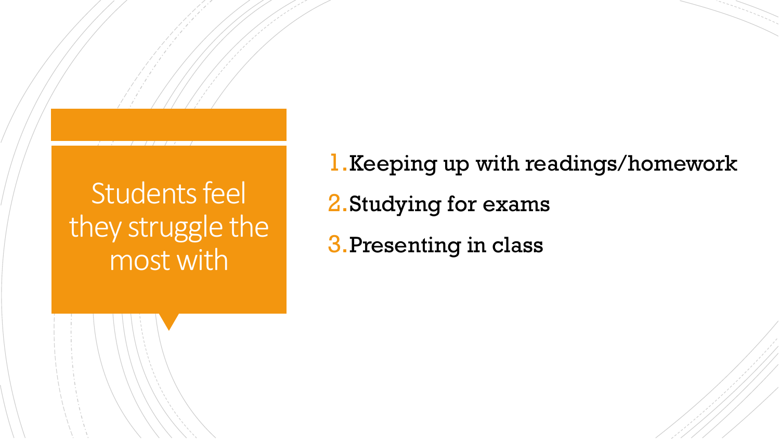### Students feel they struggle the most with

1.Keeping up with readings/homework 2.Studying for exams

3.Presenting in class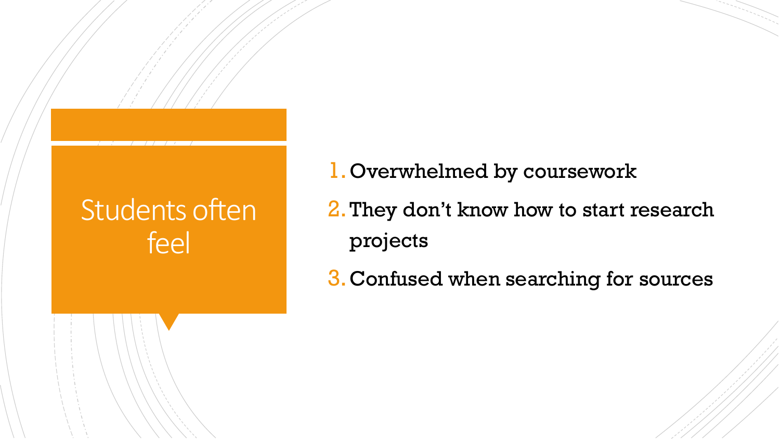### Students often feel

- 1.Overwhelmed by coursework
- 2.They don't know how to start research projects
- 3.Confused when searching for sources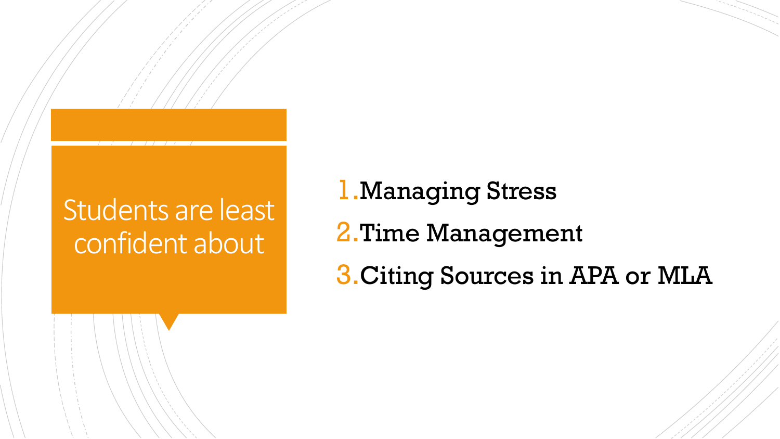## Students are least confident about

# 1.Managing Stress 2.Time Management 3.Citing Sources in APA or MLA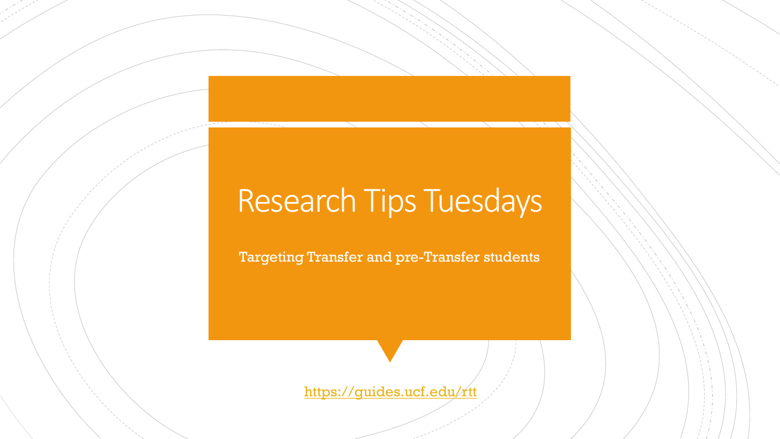## Research Tips Tuesdays

Targeting Transfer and pre-Transfer students

<https://guides.ucf.edu/rtt>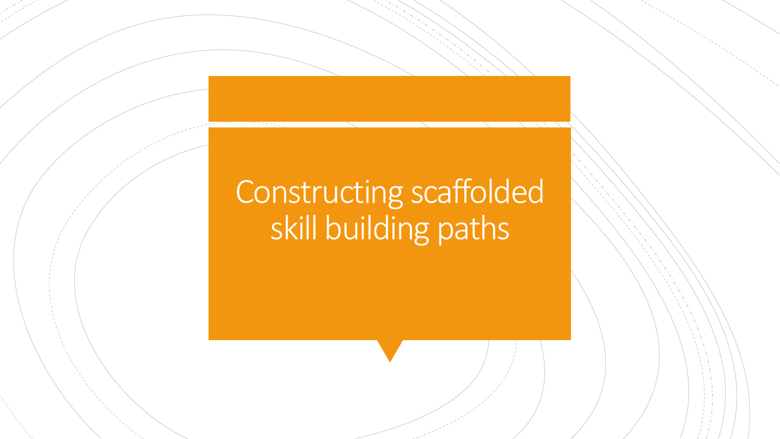# Constructing scaffolded skill building paths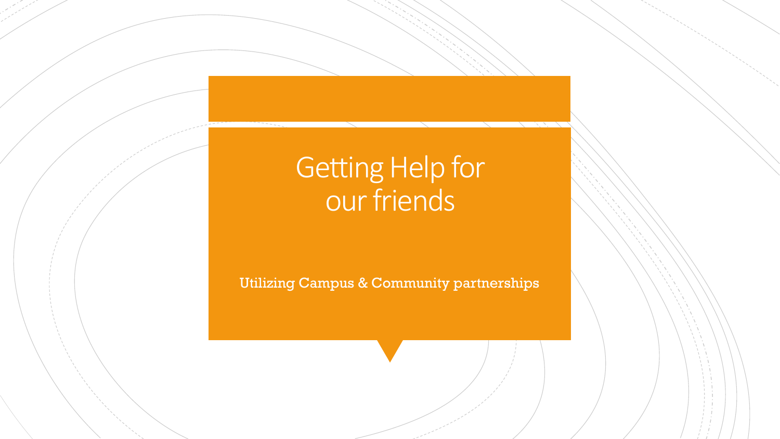## Getting Help for our friends

Utilizing Campus & Community partnerships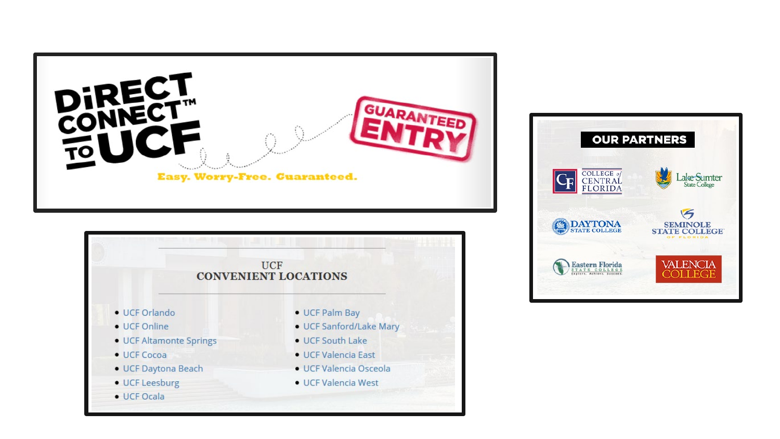



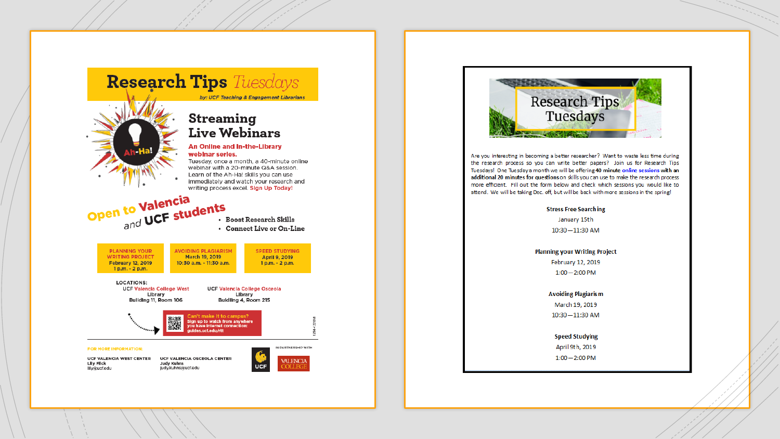



Are you interesting in becoming a better researcher? Want to waste less time during the research process so you can write better papers? Join us for Research Tips Tuesdays! One Tuesday a month we will be offering 40 minute online sessions with an additional 20 minutes for questions on skills you can use to make the research process more efficient. Fill out the form below and check which sessions you would like to attend. We will be taking Dec. off, but will be back with more sessions in the spring!

#### **Stress Free Searching**

January 15th  $10:30 - 11:30$  AM

#### **Planning your Writing Project**

February 12, 2019  $1:00 - 2:00$  PM

#### **Avoiding Plagiarism**

March 19, 2019 10:30-11:30 AM

#### **Speed Studying**

April 9th, 2019  $1:00 - 2:00$  PM